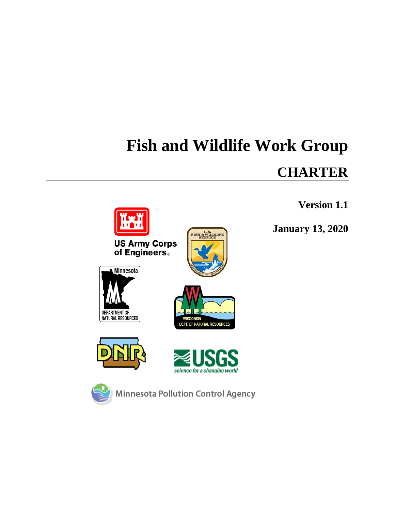# **Fish and Wildlife Work Group**

# **CHARTER**

# **Version 1.1**

**January 13, 2020**





**FISH & WILDLIFE** 







**Minnesota Pollution Control Agency**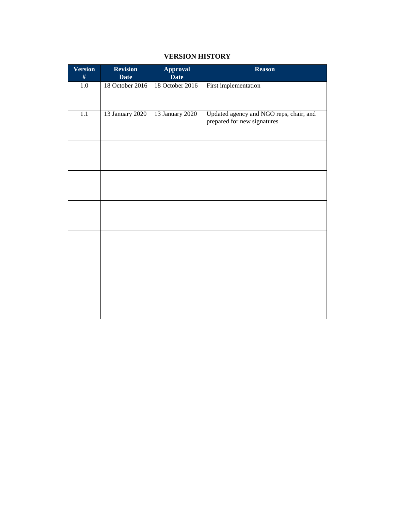# **VERSION HISTORY**

| <b>Version</b><br># | <b>Revision</b><br><b>Date</b> | <b>Approval</b><br><b>Date</b> | <b>Reason</b>                                                          |
|---------------------|--------------------------------|--------------------------------|------------------------------------------------------------------------|
| 1.0                 | 18 October 2016                | 18 October 2016                | First implementation                                                   |
| $\overline{1.1}$    | 13 January 2020                | 13 January 2020                | Updated agency and NGO reps, chair, and<br>prepared for new signatures |
|                     |                                |                                |                                                                        |
|                     |                                |                                |                                                                        |
|                     |                                |                                |                                                                        |
|                     |                                |                                |                                                                        |
|                     |                                |                                |                                                                        |
|                     |                                |                                |                                                                        |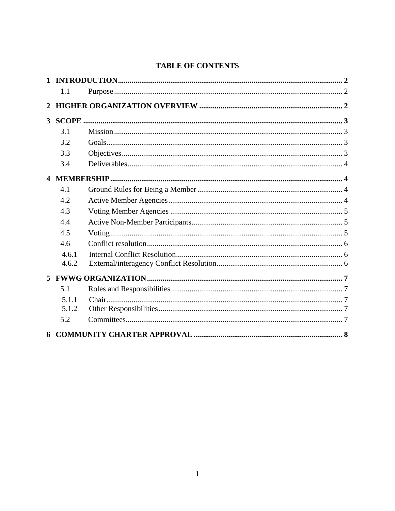# **TABLE OF CONTENTS**

| $\mathbf{1}$   |       |  |
|----------------|-------|--|
|                | 1.1   |  |
| 2              |       |  |
| 3 <sup>1</sup> |       |  |
|                | 3.1   |  |
|                | 3.2   |  |
|                | 3.3   |  |
|                | 3.4   |  |
|                |       |  |
|                | 4.1   |  |
|                | 4.2   |  |
|                | 4.3   |  |
|                | 4.4   |  |
|                | 4.5   |  |
|                | 4.6   |  |
|                | 4.6.1 |  |
|                | 4.6.2 |  |
| 5              |       |  |
|                | 5.1   |  |
|                | 5.1.1 |  |
|                | 5.1.2 |  |
|                | 5.2   |  |
| 6              |       |  |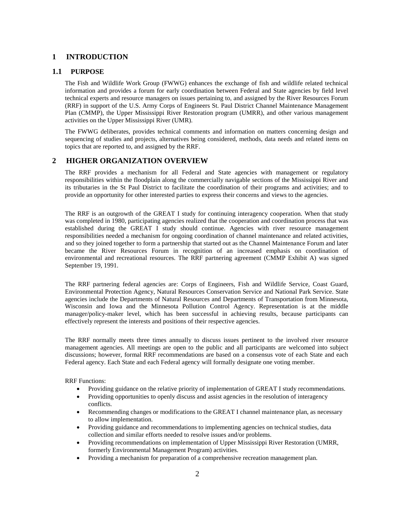# <span id="page-3-0"></span>**1 INTRODUCTION**

# <span id="page-3-1"></span>**1.1 PURPOSE**

The Fish and Wildlife Work Group (FWWG) enhances the exchange of fish and wildlife related technical information and provides a forum for early coordination between Federal and State agencies by field level technical experts and resource managers on issues pertaining to, and assigned by the River Resources Forum (RRF) in support of the U.S. Army Corps of Engineers St. Paul District Channel Maintenance Management Plan (CMMP), the Upper Mississippi River Restoration program (UMRR), and other various management activities on the Upper Mississippi River (UMR).

The FWWG deliberates, provides technical comments and information on matters concerning design and sequencing of studies and projects, alternatives being considered, methods, data needs and related items on topics that are reported to, and assigned by the RRF.

# <span id="page-3-2"></span>**2 HIGHER ORGANIZATION OVERVIEW**

The RRF provides a mechanism for all Federal and State agencies with management or regulatory responsibilities within the floodplain along the commercially navigable sections of the Mississippi River and its tributaries in the St Paul District to facilitate the coordination of their programs and activities; and to provide an opportunity for other interested parties to express their concerns and views to the agencies.

The RRF is an outgrowth of the GREAT I study for continuing interagency cooperation. When that study was completed in 1980, participating agencies realized that the cooperation and coordination process that was established during the GREAT I study should continue. Agencies with river resource management responsibilities needed a mechanism for ongoing coordination of channel maintenance and related activities, and so they joined together to form a partnership that started out as the Channel Maintenance Forum and later became the River Resources Forum in recognition of an increased emphasis on coordination of environmental and recreational resources. The RRF partnering agreement (CMMP Exhibit A) was signed September 19, 1991.

The RRF partnering federal agencies are: Corps of Engineers, Fish and Wildlife Service, Coast Guard, Environmental Protection Agency, Natural Resources Conservation Service and National Park Service. State agencies include the Departments of Natural Resources and Departments of Transportation from Minnesota, Wisconsin and Iowa and the Minnesota Pollution Control Agency. Representation is at the middle manager/policy-maker level, which has been successful in achieving results, because participants can effectively represent the interests and positions of their respective agencies.

The RRF normally meets three times annually to discuss issues pertinent to the involved river resource management agencies. All meetings are open to the public and all participants are welcomed into subject discussions; however, formal RRF recommendations are based on a consensus vote of each State and each Federal agency. Each State and each Federal agency will formally designate one voting member.

RRF Functions:

- Providing guidance on the relative priority of implementation of GREAT I study recommendations.
- Providing opportunities to openly discuss and assist agencies in the resolution of interagency conflicts.
- Recommending changes or modifications to the GREAT I channel maintenance plan, as necessary to allow implementation.
- Providing guidance and recommendations to implementing agencies on technical studies, data collection and similar efforts needed to resolve issues and/or problems.
- Providing recommendations on implementation of Upper Mississippi River Restoration (UMRR, formerly Environmental Management Program) activities.
- Providing a mechanism for preparation of a comprehensive recreation management plan.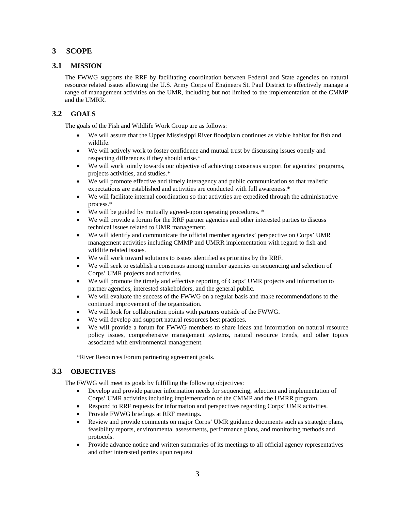# <span id="page-4-0"></span>**3 SCOPE**

# <span id="page-4-1"></span>**3.1 MISSION**

The FWWG supports the RRF by facilitating coordination between Federal and State agencies on natural resource related issues allowing the U.S. Army Corps of Engineers St. Paul District to effectively manage a range of management activities on the UMR, including but not limited to the implementation of the CMMP and the UMRR.

# <span id="page-4-2"></span>**3.2 GOALS**

The goals of the Fish and Wildlife Work Group are as follows:

- We will assure that the Upper Mississippi River floodplain continues as viable habitat for fish and wildlife.
- We will actively work to foster confidence and mutual trust by discussing issues openly and respecting differences if they should arise.\*
- We will work jointly towards our objective of achieving consensus support for agencies' programs, projects activities, and studies.\*
- We will promote effective and timely interagency and public communication so that realistic expectations are established and activities are conducted with full awareness.\*
- We will facilitate internal coordination so that activities are expedited through the administrative process.\*
- We will be guided by mutually agreed-upon operating procedures.  $*$
- We will provide a forum for the RRF partner agencies and other interested parties to discuss technical issues related to UMR management.
- We will identify and communicate the official member agencies' perspective on Corps' UMR management activities including CMMP and UMRR implementation with regard to fish and wildlife related issues.
- We will work toward solutions to issues identified as priorities by the RRF.
- We will seek to establish a consensus among member agencies on sequencing and selection of Corps' UMR projects and activities.
- We will promote the timely and effective reporting of Corps' UMR projects and information to partner agencies, interested stakeholders, and the general public.
- We will evaluate the success of the FWWG on a regular basis and make recommendations to the continued improvement of the organization.
- We will look for collaboration points with partners outside of the FWWG.
- We will develop and support natural resources best practices.
- We will provide a forum for FWWG members to share ideas and information on natural resource policy issues, comprehensive management systems, natural resource trends, and other topics associated with environmental management.

\*River Resources Forum partnering agreement goals.

# <span id="page-4-3"></span>**3.3 OBJECTIVES**

The FWWG will meet its goals by fulfilling the following objectives:

- Develop and provide partner information needs for sequencing, selection and implementation of Corps' UMR activities including implementation of the CMMP and the UMRR program.
- Respond to RRF requests for information and perspectives regarding Corps' UMR activities.
- Provide FWWG briefings at RRF meetings.
- Review and provide comments on major Corps' UMR guidance documents such as strategic plans, feasibility reports, environmental assessments, performance plans, and monitoring methods and protocols.
- Provide advance notice and written summaries of its meetings to all official agency representatives and other interested parties upon request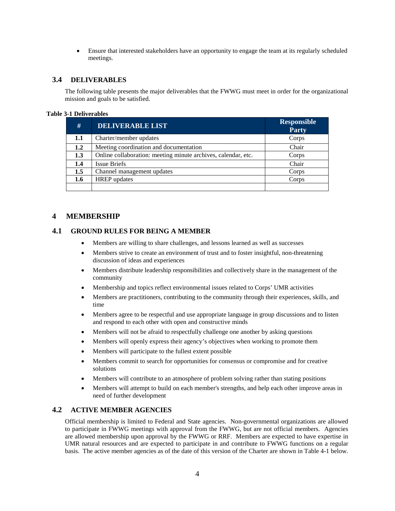• Ensure that interested stakeholders have an opportunity to engage the team at its regularly scheduled meetings.

# <span id="page-5-0"></span>**3.4 DELIVERABLES**

The following table presents the major deliverables that the FWWG must meet in order for the organizational mission and goals to be satisfied.

#### **Table 3-1 Deliverables**

| #   | <b>DELIVERABLE LIST</b>                                       | <b>Responsible</b><br>Party |
|-----|---------------------------------------------------------------|-----------------------------|
| 1.1 | Charter/member updates                                        | Corps                       |
| 1.2 | Meeting coordination and documentation                        | Chair                       |
| 1.3 | Online collaboration: meeting minute archives, calendar, etc. | Corps                       |
| 1.4 | <b>Issue Briefs</b>                                           | Chair                       |
| 1.5 | Channel management updates                                    | Corps                       |
| 1.6 | <b>HREP</b> updates                                           | Corps                       |
|     |                                                               |                             |

# <span id="page-5-1"></span>**4 MEMBERSHIP**

### <span id="page-5-2"></span>**4.1 GROUND RULES FOR BEING A MEMBER**

- Members are willing to share challenges, and lessons learned as well as successes
- Members strive to create an environment of trust and to foster insightful, non-threatening discussion of ideas and experiences
- Members distribute leadership responsibilities and collectively share in the management of the community
- Membership and topics reflect environmental issues related to Corps' UMR activities
- Members are practitioners, contributing to the community through their experiences, skills, and time
- Members agree to be respectful and use appropriate language in group discussions and to listen and respond to each other with open and constructive minds
- Members will not be afraid to respectfully challenge one another by asking questions
- Members will openly express their agency's objectives when working to promote them
- Members will participate to the fullest extent possible
- Members commit to search for opportunities for consensus or compromise and for creative solutions
- Members will contribute to an atmosphere of problem solving rather than stating positions
- Members will attempt to build on each member's strengths, and help each other improve areas in need of further development

# <span id="page-5-3"></span>**4.2 ACTIVE MEMBER AGENCIES**

Official membership is limited to Federal and State agencies. Non-governmental organizations are allowed to participate in FWWG meetings with approval from the FWWG, but are not official members. Agencies are allowed membership upon approval by the FWWG or RRF. Members are expected to have expertise in UMR natural resources and are expected to participate in and contribute to FWWG functions on a regular basis. The active member agencies as of the date of this version of the Charter are shown in Table 4-1 below.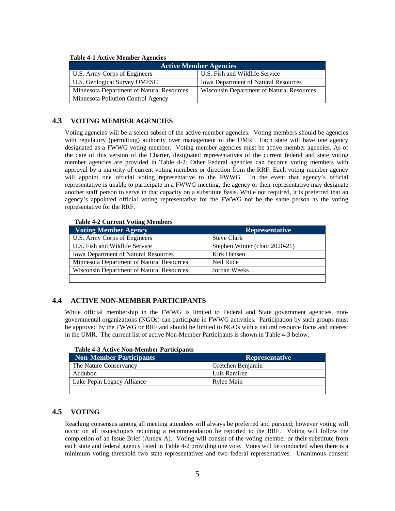| Tuble + 1 Active Member Accident          |                                             |  |  |  |
|-------------------------------------------|---------------------------------------------|--|--|--|
| <b>Active Member Agencies</b>             |                                             |  |  |  |
| U.S. Army Corps of Engineers              | U.S. Fish and Wildlife Service              |  |  |  |
| U.S. Geological Survey UMESC              | <b>Iowa Department of Natural Resources</b> |  |  |  |
| Minnesota Department of Natural Resources | Wisconsin Department of Natural Resources   |  |  |  |
| Minnesota Pollution Control Agency        |                                             |  |  |  |

#### **Table 4-1 Active Member Agencies**

#### <span id="page-6-0"></span>**4.3 VOTING MEMBER AGENCIES**

Voting agencies will be a select subset of the active member agencies. Voting members should be agencies with regulatory (permitting) authority over management of the UMR. Each state will have one agency designated as a FWWG voting member. Voting member agencies must be active member agencies. As of the date of this version of the Charter, designated representatives of the current federal and state voting member agencies are provided in Table 4-2. Other Federal agencies can become voting members with approval by a majority of current voting members or direction from the RRF. Each voting member agency will appoint one official voting representative to the FWWG. In the event that agency's official representative is unable to participate in a FWWG meeting, the agency or their representative may designate another staff person to serve in that capacity on a substitute basis. While not required, it is preferred that an agency's appointed official voting representative for the FWWG not be the same person as the voting representative for the RRF.

#### **Table 4-2 Current Voting Members**

| <b>Voting Member Agency</b>                      | <b>Representative</b>          |
|--------------------------------------------------|--------------------------------|
| U.S. Army Corps of Engineers                     | <b>Steve Clark</b>             |
| U.S. Fish and Wildlife Service                   | Stephen Winter (chair 2020-21) |
| <b>Iowa Department of Natural Resources</b>      | Kirk Hansen                    |
| Minnesota Department of Natural Resources        | Neil Rude                      |
| <b>Wisconsin Department of Natural Resources</b> | Jordan Weeks                   |
|                                                  |                                |

#### <span id="page-6-1"></span>**4.4 ACTIVE NON-MEMBER PARTICIPANTS**

While official membership in the FWWG is limited to Federal and State government agencies, nongovernmental organizations (NGOs) can participate in FWWG activities. Participation by such groups must be approved by the FWWG or RRF and should be limited to NGOs with a natural resource focus and interest in the UMR. The current list of active Non-Member Participants is shown in Table 4-3 below.

| TUDIO I D'ITOMIQUITON INTONIODI TULIDIDUNIO |                       |
|---------------------------------------------|-----------------------|
| <b>Non-Member Participants</b>              | <b>Representative</b> |
| The Nature Conservancy                      | Gretchen Benjamin     |
| Audubon                                     | Luis Ramirez          |
| Lake Pepin Legacy Alliance                  | Rylee Main            |
|                                             |                       |

#### **Table 4-3 Active Non-Member Participants**

#### <span id="page-6-2"></span>**4.5 VOTING**

Reaching consensus among all meeting attendees will always be preferred and pursued; however voting will occur on all issues/topics requiring a recommendation be reported to the RRF. Voting will follow the completion of an Issue Brief (Annex A). Voting will consist of the voting member or their substitute from each state and federal agency listed in Table 4-2 providing one vote. Votes will be conducted when there is a minimum voting threshold two state representatives and two federal representatives. Unanimous consent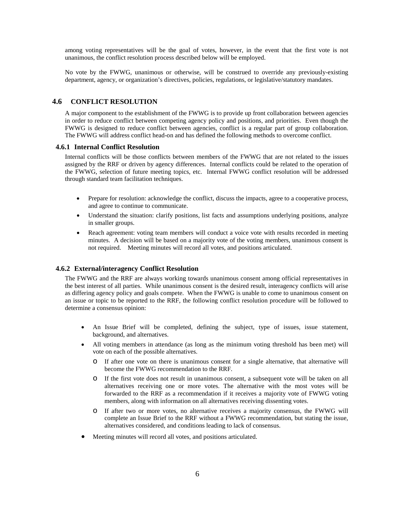among voting representatives will be the goal of votes, however, in the event that the first vote is not unanimous, the conflict resolution process described below will be employed.

No vote by the FWWG, unanimous or otherwise, will be construed to override any previously-existing department, agency, or organization's directives, policies, regulations, or legislative/statutory mandates.

#### <span id="page-7-0"></span>**4.6 CONFLICT RESOLUTION**

A major component to the establishment of the FWWG is to provide up front collaboration between agencies in order to reduce conflict between competing agency policy and positions, and priorities. Even though the FWWG is designed to reduce conflict between agencies, conflict is a regular part of group collaboration. The FWWG will address conflict head-on and has defined the following methods to overcome conflict.

#### <span id="page-7-1"></span>**4.6.1 Internal Conflict Resolution**

Internal conflicts will be those conflicts between members of the FWWG that are not related to the issues assigned by the RRF or driven by agency differences. Internal conflicts could be related to the operation of the FWWG, selection of future meeting topics, etc. Internal FWWG conflict resolution will be addressed through standard team facilitation techniques.

- Prepare for resolution: acknowledge the conflict, discuss the impacts, agree to a cooperative process, and agree to continue to communicate.
- Understand the situation: clarify positions, list facts and assumptions underlying positions, analyze in smaller groups.
- Reach agreement: voting team members will conduct a voice vote with results recorded in meeting minutes. A decision will be based on a majority vote of the voting members, unanimous consent is not required. Meeting minutes will record all votes, and positions articulated.

#### <span id="page-7-2"></span>**4.6.2 External/interagency Conflict Resolution**

The FWWG and the RRF are always working towards unanimous consent among official representatives in the best interest of all parties. While unanimous consent is the desired result, interagency conflicts will arise as differing agency policy and goals compete. When the FWWG is unable to come to unanimous consent on an issue or topic to be reported to the RRF, the following conflict resolution procedure will be followed to determine a consensus opinion:

- An Issue Brief will be completed, defining the subject, type of issues, issue statement, background, and alternatives.
- All voting members in attendance (as long as the minimum voting threshold has been met) will vote on each of the possible alternatives.
	- o If after one vote on there is unanimous consent for a single alternative, that alternative will become the FWWG recommendation to the RRF.
	- o If the first vote does not result in unanimous consent, a subsequent vote will be taken on all alternatives receiving one or more votes. The alternative with the most votes will be forwarded to the RRF as a recommendation if it receives a majority vote of FWWG voting members, along with information on all alternatives receiving dissenting votes.
	- o If after two or more votes, no alternative receives a majority consensus, the FWWG will complete an Issue Brief to the RRF without a FWWG recommendation, but stating the issue, alternatives considered, and conditions leading to lack of consensus.
- Meeting minutes will record all votes, and positions articulated.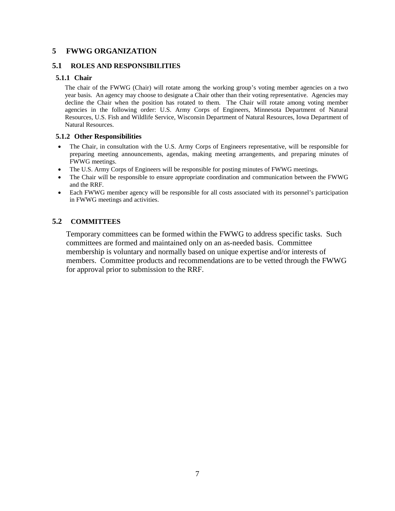# <span id="page-8-0"></span>**5 FWWG ORGANIZATION**

# <span id="page-8-1"></span>**5.1 ROLES AND RESPONSIBILITIES**

# <span id="page-8-2"></span>**5.1.1 Chair**

The chair of the FWWG (Chair) will rotate among the working group's voting member agencies on a two year basis. An agency may choose to designate a Chair other than their voting representative. Agencies may decline the Chair when the position has rotated to them. The Chair will rotate among voting member agencies in the following order: U.S. Army Corps of Engineers, Minnesota Department of Natural Resources, U.S. Fish and Wildlife Service, Wisconsin Department of Natural Resources, Iowa Department of Natural Resources.

# <span id="page-8-3"></span>**5.1.2 Other Responsibilities**

- The Chair, in consultation with the U.S. Army Corps of Engineers representative, will be responsible for preparing meeting announcements, agendas, making meeting arrangements, and preparing minutes of FWWG meetings.
- The U.S. Army Corps of Engineers will be responsible for posting minutes of FWWG meetings.
- The Chair will be responsible to ensure appropriate coordination and communication between the FWWG and the RRF.
- Each FWWG member agency will be responsible for all costs associated with its personnel's participation in FWWG meetings and activities.

# <span id="page-8-4"></span>**5.2 COMMITTEES**

Temporary committees can be formed within the FWWG to address specific tasks. Such committees are formed and maintained only on an as-needed basis. Committee membership is voluntary and normally based on unique expertise and/or interests of members. Committee products and recommendations are to be vetted through the FWWG for approval prior to submission to the RRF.